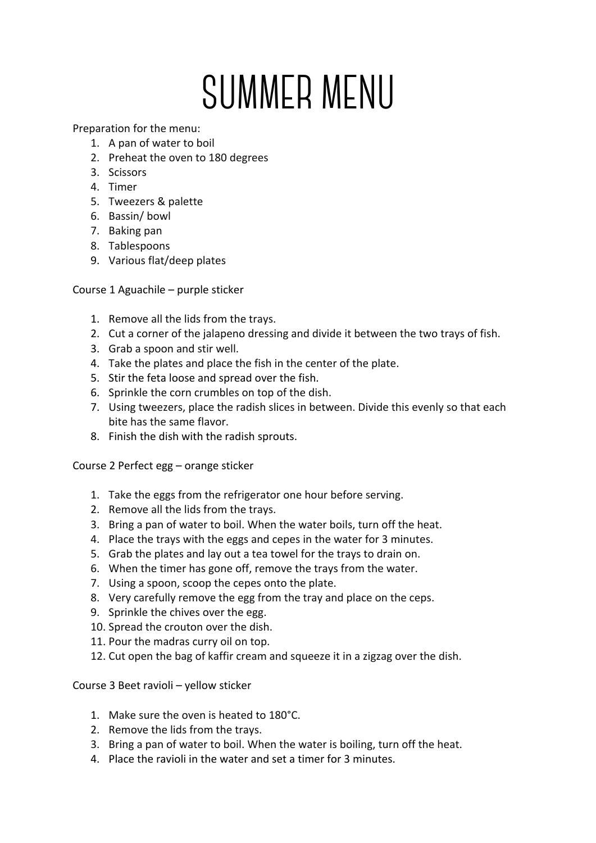## **SUMMER MENU**

Preparation for the menu:

- 1. A pan of water to boil
- 2. Preheat the oven to 180 degrees
- 3. Scissors
- 4. Timer
- 5. Tweezers & palette
- 6. Bassin/ bowl
- 7. Baking pan
- 8. Tablespoons
- 9. Various flat/deep plates

Course 1 Aguachile – purple sticker

- 1. Remove all the lids from the trays.
- 2. Cut a corner of the jalapeno dressing and divide it between the two trays of fish.
- 3. Grab a spoon and stir well.
- 4. Take the plates and place the fish in the center of the plate.
- 5. Stir the feta loose and spread over the fish.
- 6. Sprinkle the corn crumbles on top of the dish.
- 7. Using tweezers, place the radish slices in between. Divide this evenly so that each bite has the same flavor.
- 8. Finish the dish with the radish sprouts.

Course 2 Perfect egg – orange sticker

- 1. Take the eggs from the refrigerator one hour before serving.
- 2. Remove all the lids from the trays.
- 3. Bring a pan of water to boil. When the water boils, turn off the heat.
- 4. Place the trays with the eggs and cepes in the water for 3 minutes.
- 5. Grab the plates and lay out a tea towel for the trays to drain on.
- 6. When the timer has gone off, remove the trays from the water.
- 7. Using a spoon, scoop the cepes onto the plate.
- 8. Very carefully remove the egg from the tray and place on the ceps.
- 9. Sprinkle the chives over the egg.
- 10. Spread the crouton over the dish.
- 11. Pour the madras curry oil on top.
- 12. Cut open the bag of kaffir cream and squeeze it in a zigzag over the dish.

Course 3 Beet ravioli – yellow sticker

- 1. Make sure the oven is heated to 180°C.
- 2. Remove the lids from the trays.
- 3. Bring a pan of water to boil. When the water is boiling, turn off the heat.
- 4. Place the ravioli in the water and set a timer for 3 minutes.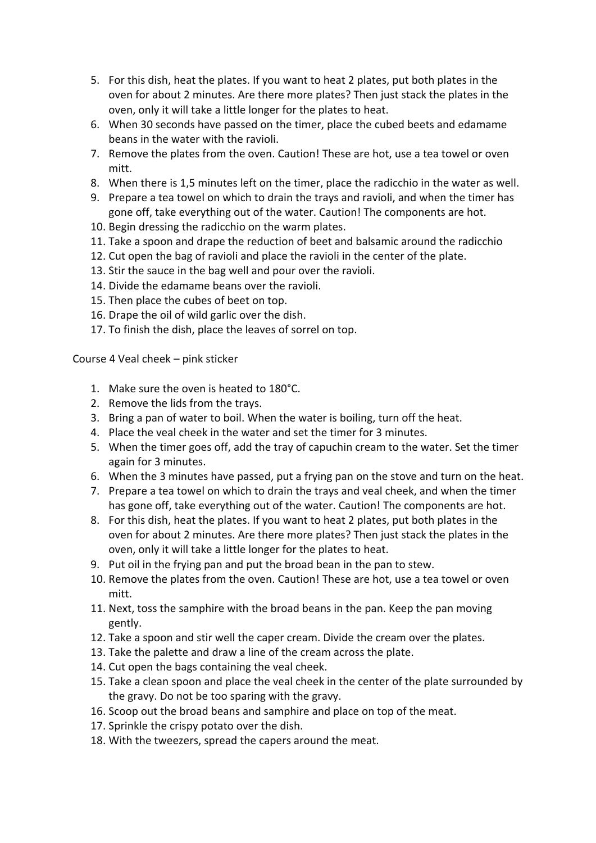- 5. For this dish, heat the plates. If you want to heat 2 plates, put both plates in the oven for about 2 minutes. Are there more plates? Then just stack the plates in the oven, only it will take a little longer for the plates to heat.
- 6. When 30 seconds have passed on the timer, place the cubed beets and edamame beans in the water with the ravioli.
- 7. Remove the plates from the oven. Caution! These are hot, use a tea towel or oven mitt.
- 8. When there is 1,5 minutes left on the timer, place the radicchio in the water as well.
- 9. Prepare a tea towel on which to drain the trays and ravioli, and when the timer has gone off, take everything out of the water. Caution! The components are hot.
- 10. Begin dressing the radicchio on the warm plates.
- 11. Take a spoon and drape the reduction of beet and balsamic around the radicchio
- 12. Cut open the bag of ravioli and place the ravioli in the center of the plate.
- 13. Stir the sauce in the bag well and pour over the ravioli.
- 14. Divide the edamame beans over the ravioli.
- 15. Then place the cubes of beet on top.
- 16. Drape the oil of wild garlic over the dish.
- 17. To finish the dish, place the leaves of sorrel on top.

Course 4 Veal cheek – pink sticker

- 1. Make sure the oven is heated to 180°C.
- 2. Remove the lids from the trays.
- 3. Bring a pan of water to boil. When the water is boiling, turn off the heat.
- 4. Place the veal cheek in the water and set the timer for 3 minutes.
- 5. When the timer goes off, add the tray of capuchin cream to the water. Set the timer again for 3 minutes.
- 6. When the 3 minutes have passed, put a frying pan on the stove and turn on the heat.
- 7. Prepare a tea towel on which to drain the trays and veal cheek, and when the timer has gone off, take everything out of the water. Caution! The components are hot.
- 8. For this dish, heat the plates. If you want to heat 2 plates, put both plates in the oven for about 2 minutes. Are there more plates? Then just stack the plates in the oven, only it will take a little longer for the plates to heat.
- 9. Put oil in the frying pan and put the broad bean in the pan to stew.
- 10. Remove the plates from the oven. Caution! These are hot, use a tea towel or oven mitt.
- 11. Next, toss the samphire with the broad beans in the pan. Keep the pan moving gently.
- 12. Take a spoon and stir well the caper cream. Divide the cream over the plates.
- 13. Take the palette and draw a line of the cream across the plate.
- 14. Cut open the bags containing the veal cheek.
- 15. Take a clean spoon and place the veal cheek in the center of the plate surrounded by the gravy. Do not be too sparing with the gravy.
- 16. Scoop out the broad beans and samphire and place on top of the meat.
- 17. Sprinkle the crispy potato over the dish.
- 18. With the tweezers, spread the capers around the meat.